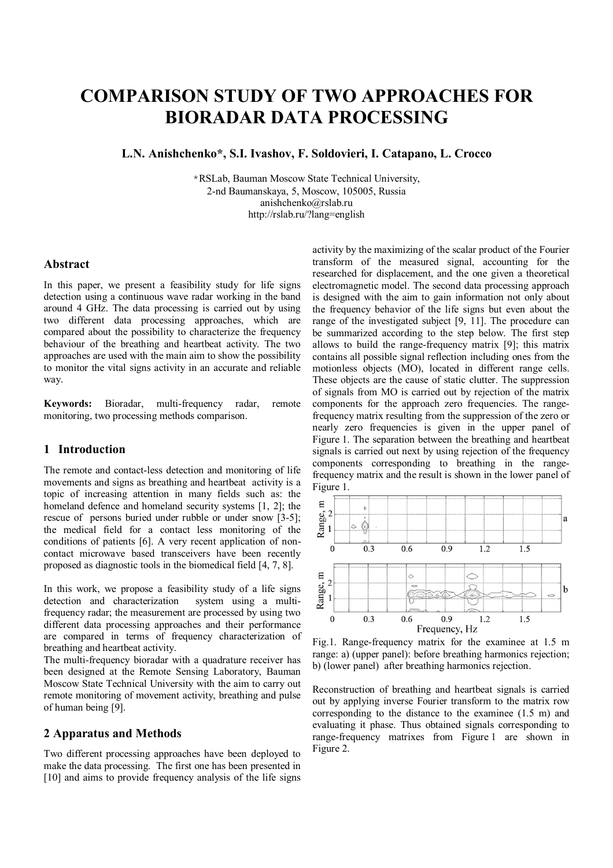# **COMPARISON STUDY OF TWO APPROACHES FOR BIORADAR DATA PROCESSING**

**L.N. Anishchenko\*, S.I. Ivashov, F. Soldovieri, I. Catapano, L. Crocco**

\*RSLab, Bauman Moscow State Technical University, 2-nd Baumanskaya, 5, Moscow, 105005, Russia anishchenko@rslab.ru http://rslab.ru/?lang=english

#### **Abstract**

In this paper, we present a feasibility study for life signs detection using a continuous wave radar working in the band around 4 GHz. The data processing is carried out by using two different data processing approaches, which are compared about the possibility to characterize the frequency behaviour of the breathing and heartbeat activity. The two approaches are used with the main aim to show the possibility to monitor the vital signs activity in an accurate and reliable way.

**Keywords:** Bioradar, multi-frequency radar, remote monitoring, two processing methods comparison.

## **1 Introduction**

The remote and contact-less detection and monitoring of life movements and signs as breathing and heartbeat activity is a topic of increasing attention in many fields such as: the homeland defence and homeland security systems [1, 2]; the rescue of persons buried under rubble or under snow [3-5]; the medical field for a contact less monitoring of the conditions of patients [6]. A very recent application of noncontact microwave based transceivers have been recently proposed as diagnostic tools in the biomedical field [4, 7, 8].

In this work, we propose a feasibility study of a life signs detection and characterization system using a multifrequency radar; the measurement are processed by using two different data processing approaches and their performance are compared in terms of frequency characterization of breathing and heartbeat activity.

The multi-frequency bioradar with a quadrature receiver has been designed at the Remote Sensing Laboratory, Bauman Moscow State Technical University with the aim to carry out remote monitoring of movement activity, breathing and pulse of human being [9].

#### **2 Apparatus and Methods**

Two different processing approaches have been deployed to make the data processing. The first one has been presented in [10] and aims to provide frequency analysis of the life signs activity by the maximizing of the scalar product of the Fourier transform of the measured signal, accounting for the researched for displacement, and the one given a theoretical electromagnetic model. The second data processing approach is designed with the aim to gain information not only about the frequency behavior of the life signs but even about the range of the investigated subject [9, 11]. The procedure can be summarized according to the step below. The first step allows to build the range-frequency matrix [9]; this matrix contains all possible signal reflection including ones from the motionless objects (MO), located in different range cells. These objects are the cause of static clutter. The suppression of signals from MO is carried out by rejection of the matrix components for the approach zero frequencies. The rangefrequency matrix resulting from the suppression of the zero or nearly zero frequencies is given in the upper panel of Figure 1. The separation between the breathing and heartbeat signals is carried out next by using rejection of the frequency components corresponding to breathing in the rangefrequency matrix and the result is shown in the lower panel of Figure 1.



Fig.1. Range-frequency matrix for the examinee at 1.5 m range: a) (upper panel): before breathing harmonics rejection; b) (lower panel) after breathing harmonics rejection.

Reconstruction of breathing and heartbeat signals is carried out by applying inverse Fourier transform to the matrix row corresponding to the distance to the examinee (1.5 m) and evaluating it phase. Thus obtained signals corresponding to range-frequency matrixes from Figure 1 are shown in Figure 2.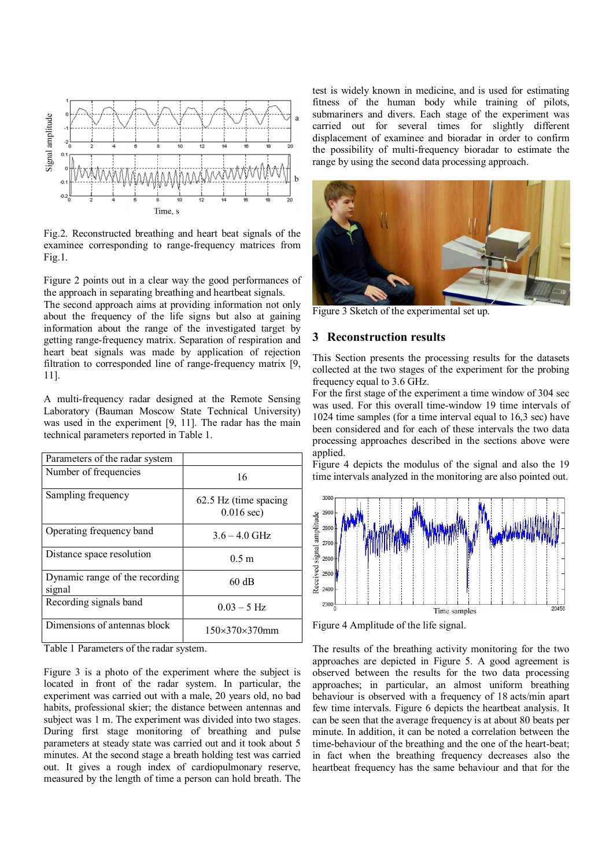

Fig.2. Reconstructed breathing and heart beat signals of the examinee corresponding to range-frequency matrices from Fig.1.

Figure 2 points out in a clear way the good performances of the approach in separating breathing and heartbeat signals.

The second approach aims at providing information not only about the frequency of the life signs but also at gaining information about the range of the investigated target by getting range-frequency matrix. Separation of respiration and heart beat signals was made by application of rejection filtration to corresponded line of range-frequency matrix [9, 11].

A multi-frequency radar designed at the Remote Sensing Laboratory (Bauman Moscow State Technical University) was used in the experiment [9, 11]. The radar has the main technical parameters reported in Table 1.

| Parameters of the radar system                       |                                        |
|------------------------------------------------------|----------------------------------------|
| Number of frequencies                                | 16                                     |
| Sampling frequency                                   | 62.5 Hz (time spacing)<br>$0.016$ sec) |
| Operating frequency band                             | $3.6 - 4.0$ GHz                        |
| Distance space resolution                            | 0.5 <sub>m</sub>                       |
| Dynamic range of the recording<br>signal             | 60 dB                                  |
| Recording signals band                               | $0.03 - 5$ Hz                          |
| Dimensions of antennas block<br>_ _<br>$\sim$ $\sim$ | $150\times370\times370$ mm             |

Table 1 Parameters of the radar system.

Figure 3 is a photo of the experiment where the subject is located in front of the radar system. In particular, the experiment was carried out with a male, 20 years old, no bad habits, professional skier; the distance between antennas and subject was 1 m. The experiment was divided into two stages. During first stage monitoring of breathing and pulse parameters at steady state was carried out and it took about 5 minutes. At the second stage a breath holding test was carried out. It gives a rough index of cardiopulmonary reserve, measured by the length of time a person can hold breath. The test is widely known in medicine, and is used for estimating fitness of the human body while training of pilots, submariners and divers. Each stage of the experiment was carried out for several times for slightly different displacement of examinee and bioradar in order to confirm the possibility of multi-frequency bioradar to estimate the range by using the second data processing approach.



Figure 3 Sketch of the experimental set up.

#### **3 Reconstruction results**

This Section presents the processing results for the datasets collected at the two stages of the experiment for the probing frequency equal to 3.6 GHz.

For the first stage of the experiment a time window of 304 sec was used. For this overall time-window 19 time intervals of 1024 time samples (for a time interval equal to 16,3 sec) have been considered and for each of these intervals the two data processing approaches described in the sections above were applied.

Figure 4 depicts the modulus of the signal and also the 19 time intervals analyzed in the monitoring are also pointed out.



Figure 4 Amplitude of the life signal.

The results of the breathing activity monitoring for the two approaches are depicted in Figure 5. A good agreement is observed between the results for the two data processing approaches; in particular, an almost uniform breathing behaviour is observed with a frequency of 18 acts/min apart few time intervals. Figure 6 depicts the heartbeat analysis. It can be seen that the average frequency is at about 80 beats per minute. In addition, it can be noted a correlation between the time-behaviour of the breathing and the one of the heart-beat; in fact when the breathing frequency decreases also the heartbeat frequency has the same behaviour and that for the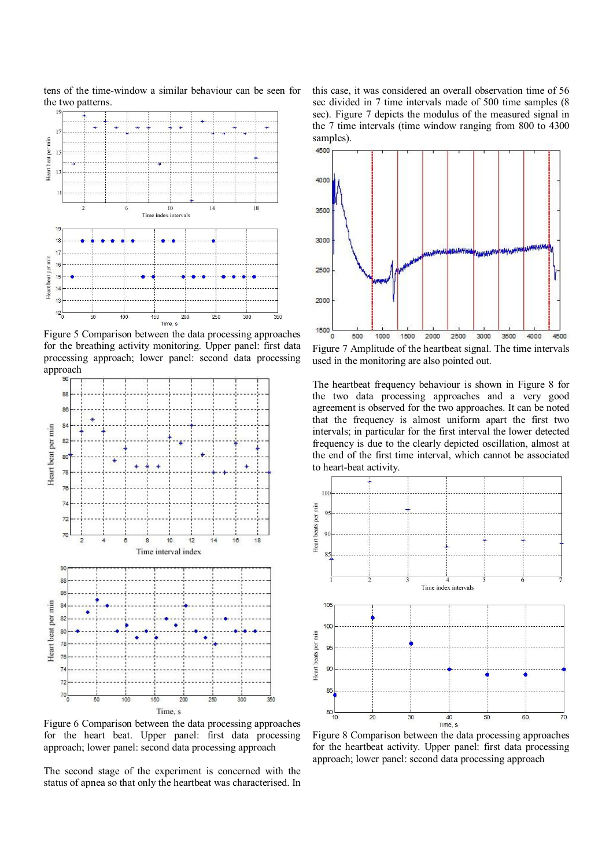

tens of the time-window a similar behaviour can be seen for

Figure 5 Comparison between the data processing approaches for the breathing activity monitoring. Upper panel: first data processing approach; lower panel: second data processing approach



Figure 6 Comparison between the data processing approaches for the heart beat. Upper panel: first data processing approach; lower panel: second data processing approach

The second stage of the experiment is concerned with the status of apnea so that only the heartbeat was characterised. In this case, it was considered an overall observation time of 56 sec divided in 7 time intervals made of 500 time samples (8 sec). Figure 7 depicts the modulus of the measured signal in the 7 time intervals (time window ranging from 800 to 4300 samples).



Figure 7 Amplitude of the heartbeat signal. The time intervals used in the monitoring are also pointed out.

The heartbeat frequency behaviour is shown in Figure 8 for the two data processing approaches and a very good agreement is observed for the two approaches. It can be noted that the frequency is almost uniform apart the first two intervals; in particular for the first interval the lower detected frequency is due to the clearly depicted oscillation, almost at the end of the first time interval, which cannot be associated to heart-beat activity.



Figure 8 Comparison between the data processing approaches for the heartbeat activity. Upper panel: first data processing approach; lower panel: second data processing approach